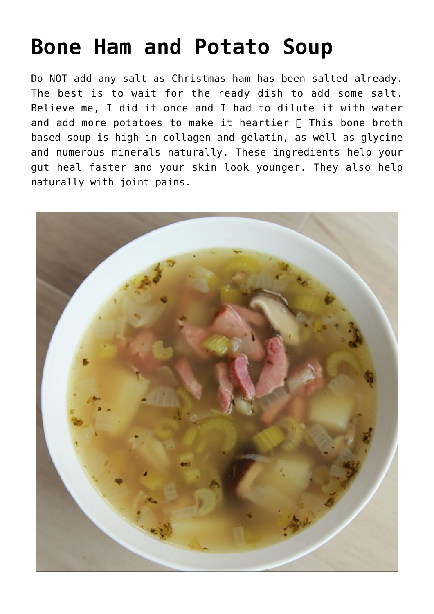## **[Bone Ham and Potato Soup](https://sproutshealth.com/bone-ham-and-potato-soup/)**

Do NOT add any salt as Christmas ham has been salted already. The best is to wait for the ready dish to add some salt. Believe me, I did it once and I had to dilute it with water and add more potatoes to make it heartier  $\Box$  This bone broth based soup is high in collagen and gelatin, as well as glycine and numerous minerals naturally. These ingredients help your gut heal faster and your skin look younger. They also help naturally with joint pains.

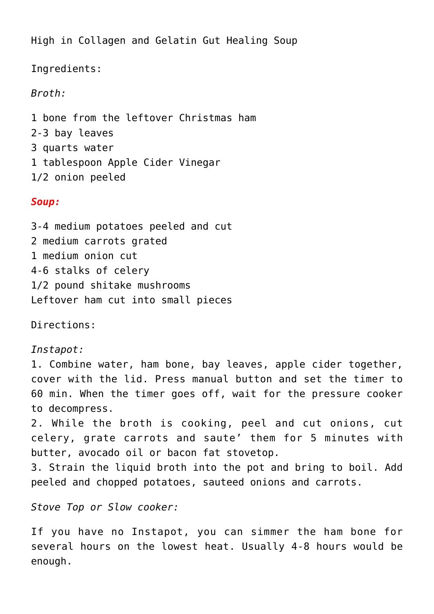High in Collagen and Gelatin Gut Healing Soup

Ingredients:

*Broth:*

1 bone from the leftover Christmas ham 2-3 bay leaves 3 quarts water 1 tablespoon Apple Cider Vinegar 1/2 onion peeled

## *Soup:*

3-4 medium potatoes peeled and cut 2 medium carrots grated 1 medium onion cut 4-6 stalks of celery 1/2 pound shitake mushrooms Leftover ham cut into small pieces

Directions:

## *Instapot:*

1. Combine water, ham bone, bay leaves, apple cider together, cover with the lid. Press manual button and set the timer to 60 min. When the timer goes off, wait for the pressure cooker to decompress.

2. While the broth is cooking, peel and cut onions, cut celery, grate carrots and saute' them for 5 minutes with butter, avocado oil or bacon fat stovetop.

3. Strain the liquid broth into the pot and bring to boil. Add peeled and chopped potatoes, sauteed onions and carrots.

*Stove Top or Slow cooker:*

If you have no Instapot, you can simmer the ham bone for several hours on the lowest heat. Usually 4-8 hours would be enough.